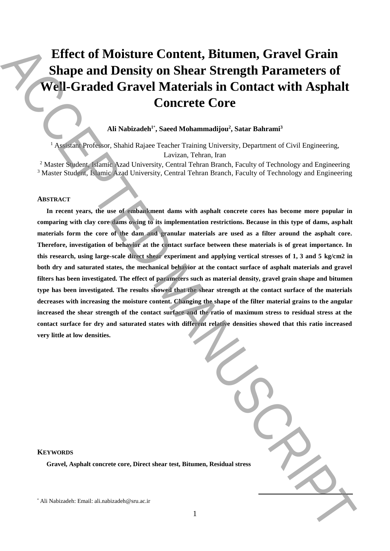# **Effect of Moisture Content, Bitumen, Gravel Grain Shape and Density on Shear Strength Parameters of Well-Graded Gravel Materials in Contact with Asphalt Concrete Core**

## **Ali Nabizadeh 1**\* **, Saeed Mohammadijou<sup>2</sup> , Satar Bahrami<sup>3</sup>**

<sup>1</sup> Assistant Professor, Shahid Rajaee Teacher Training University, Department of Civil Engineering, Lavizan, Tehran, Iran

<sup>2</sup> Master Student, Islamic Azad University, Central Tehran Branch, Faculty of Technology and Engineering <sup>3</sup> Master Student, Islamic Azad University, Central Tehran Branch, Faculty of Technology and Engineering

#### **ABSTRACT**

**In recent years, the use of embankment dams with asphalt concrete cores has become more popular in comparing with clay core dams owing to its implementation restrictions. Because in this type of dams, asphalt materials form the core of the dam and granular materials are used as a filter around the asphalt core. Therefore, investigation of behavior at the contact surface between these materials is of great importance. In this research, using large-scale direct shear experiment and applying vertical stresses of 1, 3 and 5 kg/cm2 in both dry and saturated states, the mechanical behavior at the contact surface of asphalt materials and gravel filters has been investigated. The effect of parameters such as material density, gravel grain shape and bitumen type has been investigated. The results showed that the shear strength at the contact surface of the materials decreases with increasing the moisture content. Changing the shape of the filter material grains to the angular increased the shear strength of the contact surface and the ratio of maximum stress to residual stress at the contact surface for dry and saturated states with different relative densities showed that this ratio increased very little at low densities.** Effect of Moisture Content, Bitumen, Gravel Grain<br>
Shape and Density on Shear Strength Parameters of<br>
Well-Graded Gravel Materials in Contest with Asphalt<br>
Concrete Core<br>
All shabades, shown Manuscript: State Balamai<br>
And

| <b>Residual stress</b> |  |
|------------------------|--|

## **KEYWORDS**

**Gravel, Asphalt concrete core, Direct shear test, Bitumen,**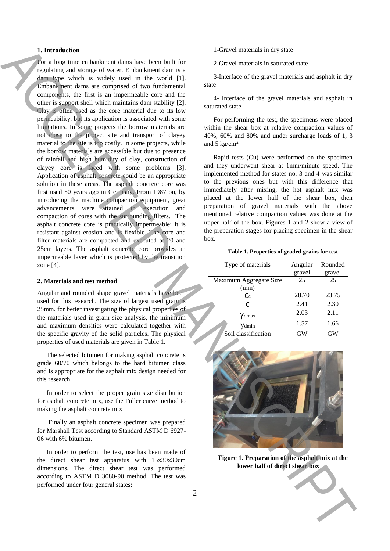### **1. Introduction**

For a long time embankment dams have been built for regulating and storage of water. Embankment dam is a dam type which is widely used in the world [1]. Embankment dams are comprised of two fundamental components, the first is an impermeable core and the other is support shell which maintains dam stability [2]. Clay is often used as the core material due to its low permeability, but its application is associated with some limitations. In some projects the borrow materials are not close to the project site and transport of clayey material to the site is too costly. In some projects, while the borrow materials are accessible but due to presence of rainfall and high humidity of clay, construction of clayey core is faced with some problems [3]. Application of asphalt concrete could be an appropriate solution in these areas. The asphalt concrete core was first used 50 years ago in Germany. From 1987 on, by introducing the machine compaction equipment, great advancements were attained in execution and compaction of cores with the surrounding filters. The asphalt concrete core is practically impermeable; it is resistant against erosion and is flexible. The core and filter materials are compacted and executed at 20 and 25cm layers. The asphalt concrete core provides an impermeable layer which is protected by the transition zone [4]. **l** a transformation of the value of the shear of the shear of the shear of the shear of the shear of the shear of the shear of the shear of the shear of the shear of the shear of the shear of the shear of the shear of the

#### **2. Materials and test method**

Angular and rounded shape gravel materials have been used for this research. The size of largest used grain is 25mm. for better investigating the physical properties of the materials used in grain size analysis, the minimum and maximum densities were calculated together with the specific gravity of the solid particles. The physical properties of used materials are given in Table 1.

The selected bitumen for making asphalt concrete is grade 60/70 which belongs to the hard bitumen class and is appropriate for the asphalt mix design needed for this research.

In order to select the proper grain size distribution for asphalt concrete mix, use the Fuller curve method to making the asphalt concrete mix

Finally an asphalt concrete specimen was prepared for Marshall Test according to Standard ASTM D 6927- 06 with 6% bitumen.

In order to perform the test, use has been made of the direct shear test apparatus with 15x30x30cm dimensions. The direct shear test was performed according to ASTM D 3080-90 method. The test was performed under four general states:

1-Gravel materials in dry state

2-Gravel materials in saturated state

3-Interface of the gravel materials and asphalt in dry state

4- Interface of the gravel materials and asphalt in saturated state

For performing the test, the specimens were placed within the shear box at relative compaction values of 40%, 60% and 80% and under surcharge loads of 1, 3 and  $5 \text{ kg/cm}^2$ 

Rapid tests (Cu) were performed on the specimen and they underwent shear at 1mm/minute speed. The implemented method for states no. 3 and 4 was similar to the previous ones but with this difference that immediately after mixing, the hot asphalt mix was placed at the lower half of the shear box, then preparation of gravel materials with the above mentioned relative compaction values was done at the upper half of the box. Figures 1 and 2 show a view of the preparation stages for placing specimen in the shear box.

#### **Table 1. Properties of graded grains for test**

| Type of materials      | Angular | Rounded |
|------------------------|---------|---------|
|                        | gravel  | gravel  |
| Maximum Aggregate Size | 25      | 25      |
| (mm)                   |         |         |
| C <sub>c</sub>         | 28.70   | 23.75   |
| C                      | 2.41    | 2.30    |
| Ydmax                  | 2.03    | 2.11    |
| $\gamma$ dmin          | 1.57    | 1.66    |
| Soil classification    | GW      | GW      |



**Figure 1. Preparation of the asphalt mix at the**